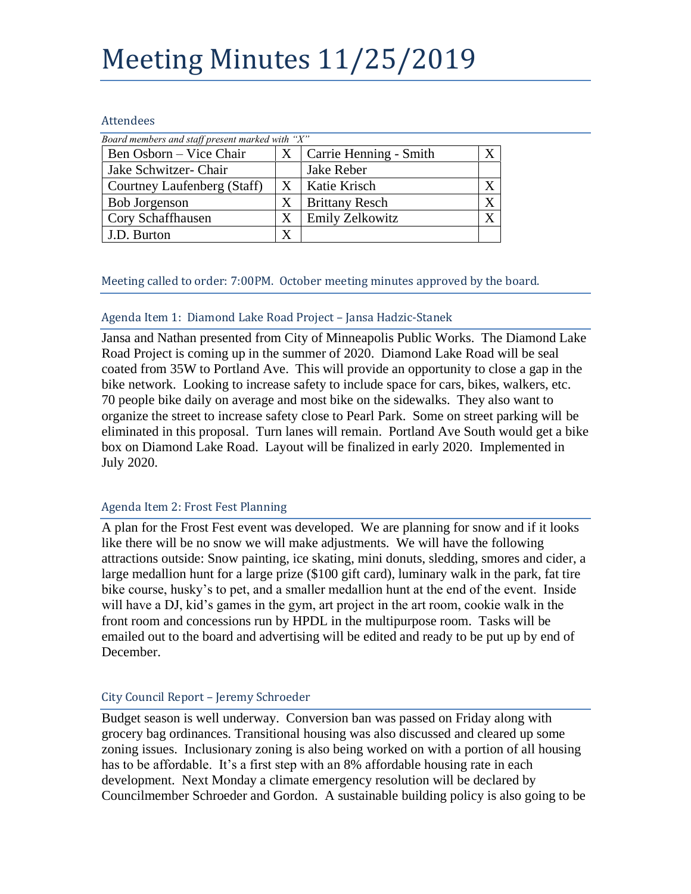# Meeting Minutes 11/25/2019

#### Attendees

| Board members and staff present marked with "X" |   |                        |  |
|-------------------------------------------------|---|------------------------|--|
| Ben Osborn – Vice Chair                         | X | Carrie Henning - Smith |  |
| Jake Schwitzer- Chair                           |   | Jake Reber             |  |
| Courtney Laufenberg (Staff)                     | Χ | Katie Krisch           |  |
| <b>Bob Jorgenson</b>                            | X | <b>Brittany Resch</b>  |  |
| Cory Schaffhausen                               | X | <b>Emily Zelkowitz</b> |  |
| J.D. Burton                                     |   |                        |  |

Meeting called to order: 7:00PM. October meeting minutes approved by the board.

### Agenda Item 1: Diamond Lake Road Project – Jansa Hadzic-Stanek

Jansa and Nathan presented from City of Minneapolis Public Works. The Diamond Lake Road Project is coming up in the summer of 2020. Diamond Lake Road will be seal coated from 35W to Portland Ave. This will provide an opportunity to close a gap in the bike network. Looking to increase safety to include space for cars, bikes, walkers, etc. 70 people bike daily on average and most bike on the sidewalks. They also want to organize the street to increase safety close to Pearl Park. Some on street parking will be eliminated in this proposal. Turn lanes will remain. Portland Ave South would get a bike box on Diamond Lake Road. Layout will be finalized in early 2020. Implemented in July 2020.

# Agenda Item 2: Frost Fest Planning

A plan for the Frost Fest event was developed. We are planning for snow and if it looks like there will be no snow we will make adjustments. We will have the following attractions outside: Snow painting, ice skating, mini donuts, sledding, smores and cider, a large medallion hunt for a large prize (\$100 gift card), luminary walk in the park, fat tire bike course, husky's to pet, and a smaller medallion hunt at the end of the event. Inside will have a DJ, kid's games in the gym, art project in the art room, cookie walk in the front room and concessions run by HPDL in the multipurpose room. Tasks will be emailed out to the board and advertising will be edited and ready to be put up by end of December.

# City Council Report – Jeremy Schroeder

Budget season is well underway. Conversion ban was passed on Friday along with grocery bag ordinances. Transitional housing was also discussed and cleared up some zoning issues. Inclusionary zoning is also being worked on with a portion of all housing has to be affordable. It's a first step with an 8% affordable housing rate in each development. Next Monday a climate emergency resolution will be declared by Councilmember Schroeder and Gordon. A sustainable building policy is also going to be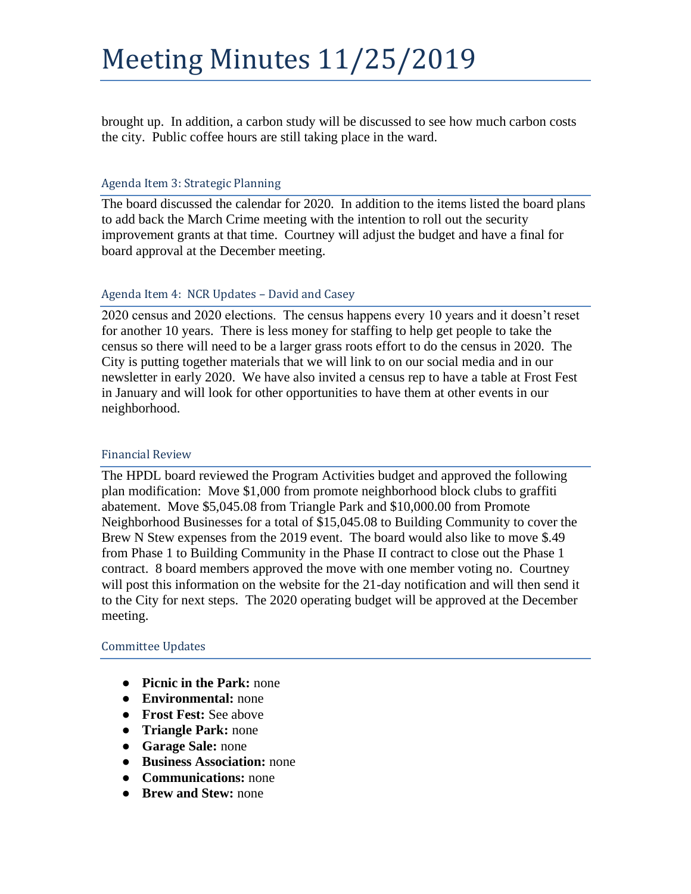brought up. In addition, a carbon study will be discussed to see how much carbon costs the city. Public coffee hours are still taking place in the ward.

#### Agenda Item 3: Strategic Planning

The board discussed the calendar for 2020. In addition to the items listed the board plans to add back the March Crime meeting with the intention to roll out the security improvement grants at that time. Courtney will adjust the budget and have a final for board approval at the December meeting.

#### Agenda Item 4: NCR Updates – David and Casey

2020 census and 2020 elections. The census happens every 10 years and it doesn't reset for another 10 years. There is less money for staffing to help get people to take the census so there will need to be a larger grass roots effort to do the census in 2020. The City is putting together materials that we will link to on our social media and in our newsletter in early 2020. We have also invited a census rep to have a table at Frost Fest in January and will look for other opportunities to have them at other events in our neighborhood.

#### Financial Review

The HPDL board reviewed the Program Activities budget and approved the following plan modification: Move \$1,000 from promote neighborhood block clubs to graffiti abatement. Move \$5,045.08 from Triangle Park and \$10,000.00 from Promote Neighborhood Businesses for a total of \$15,045.08 to Building Community to cover the Brew N Stew expenses from the 2019 event. The board would also like to move \$.49 from Phase 1 to Building Community in the Phase II contract to close out the Phase 1 contract. 8 board members approved the move with one member voting no. Courtney will post this information on the website for the 21-day notification and will then send it to the City for next steps. The 2020 operating budget will be approved at the December meeting.

#### Committee Updates

- **Picnic in the Park:** none
- **Environmental:** none
- **Frost Fest:** See above
- **Triangle Park:** none
- **Garage Sale:** none
- **Business Association:** none
- **Communications:** none
- **Brew and Stew:** none